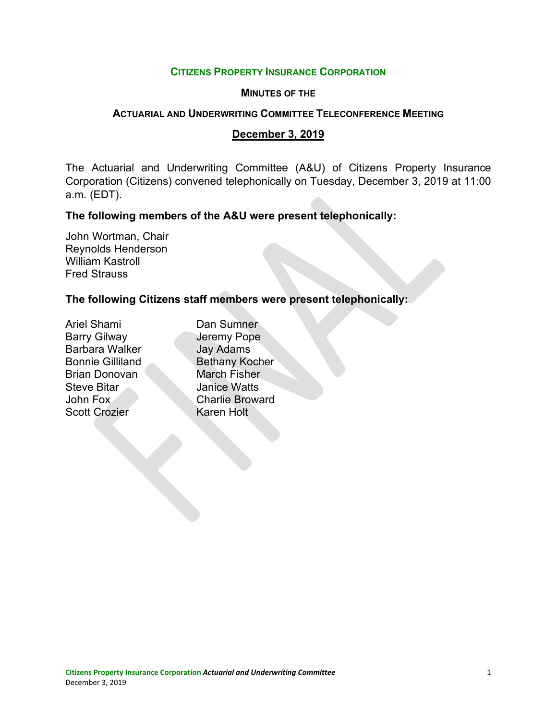#### **CITIZENS PROPERTY INSURANCE CORPORATION**

#### **MINUTES OF THE**

#### **ACTUARIAL AND UNDERWRITING COMMITTEE TELECONFERENCE MEETING**

#### **December 3, 2019**

The Actuarial and Underwriting Committee (A&U) of Citizens Property Insurance Corporation (Citizens) convened telephonically on Tuesday, December 3, 2019 at 11:00 a.m. (EDT).

## **The following members of the A&U were present telephonically:**

John Wortman, Chair Reynolds Henderson William Kastroll Fred Strauss

# **The following Citizens staff members were present telephonically:**

Ariel Shami Dan Sumner Barry Gilway **Jeremy Pope** Barbara Walker **Jay Adams** Brian Donovan March Fisher **Steve Bitar Manice Watts** Scott Crozier Karen Holt

Bonnie Gilliland Bethany Kocher John Fox Charlie Broward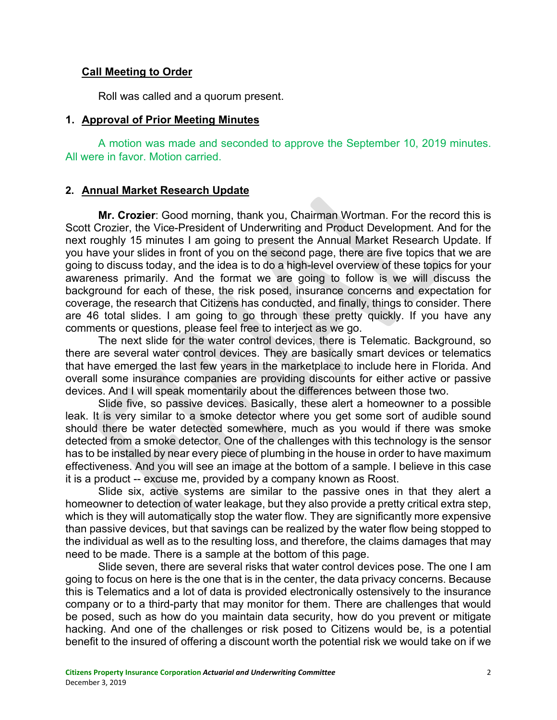## **Call Meeting to Order**

Roll was called and a quorum present.

## **1. Approval of Prior Meeting Minutes**

A motion was made and seconded to approve the September 10, 2019 minutes. All were in favor. Motion carried.

# **2. Annual Market Research Update**

**Mr. Crozier**: Good morning, thank you, Chairman Wortman. For the record this is Scott Crozier, the Vice-President of Underwriting and Product Development. And for the next roughly 15 minutes I am going to present the Annual Market Research Update. If you have your slides in front of you on the second page, there are five topics that we are going to discuss today, and the idea is to do a high-level overview of these topics for your awareness primarily. And the format we are going to follow is we will discuss the background for each of these, the risk posed, insurance concerns and expectation for coverage, the research that Citizens has conducted, and finally, things to consider. There are 46 total slides. I am going to go through these pretty quickly. If you have any comments or questions, please feel free to interject as we go.

The next slide for the water control devices, there is Telematic. Background, so there are several water control devices. They are basically smart devices or telematics that have emerged the last few years in the marketplace to include here in Florida. And overall some insurance companies are providing discounts for either active or passive devices. And I will speak momentarily about the differences between those two.

Slide five, so passive devices. Basically, these alert a homeowner to a possible leak. It is very similar to a smoke detector where you get some sort of audible sound should there be water detected somewhere, much as you would if there was smoke detected from a smoke detector. One of the challenges with this technology is the sensor has to be installed by near every piece of plumbing in the house in order to have maximum effectiveness. And you will see an image at the bottom of a sample. I believe in this case it is a product -- excuse me, provided by a company known as Roost.

Slide six, active systems are similar to the passive ones in that they alert a homeowner to detection of water leakage, but they also provide a pretty critical extra step, which is they will automatically stop the water flow. They are significantly more expensive than passive devices, but that savings can be realized by the water flow being stopped to the individual as well as to the resulting loss, and therefore, the claims damages that may need to be made. There is a sample at the bottom of this page.

Slide seven, there are several risks that water control devices pose. The one I am going to focus on here is the one that is in the center, the data privacy concerns. Because this is Telematics and a lot of data is provided electronically ostensively to the insurance company or to a third-party that may monitor for them. There are challenges that would be posed, such as how do you maintain data security, how do you prevent or mitigate hacking. And one of the challenges or risk posed to Citizens would be, is a potential benefit to the insured of offering a discount worth the potential risk we would take on if we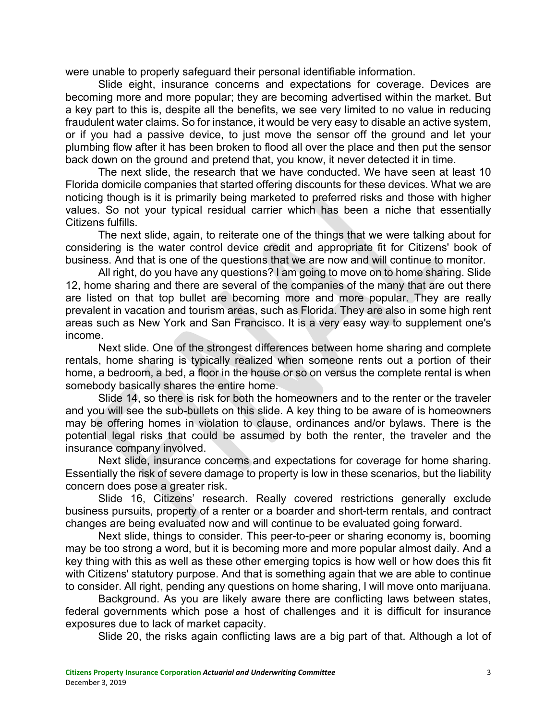were unable to properly safeguard their personal identifiable information.

Slide eight, insurance concerns and expectations for coverage. Devices are becoming more and more popular; they are becoming advertised within the market. But a key part to this is, despite all the benefits, we see very limited to no value in reducing fraudulent water claims. So for instance, it would be very easy to disable an active system, or if you had a passive device, to just move the sensor off the ground and let your plumbing flow after it has been broken to flood all over the place and then put the sensor back down on the ground and pretend that, you know, it never detected it in time.

The next slide, the research that we have conducted. We have seen at least 10 Florida domicile companies that started offering discounts for these devices. What we are noticing though is it is primarily being marketed to preferred risks and those with higher values. So not your typical residual carrier which has been a niche that essentially Citizens fulfills.

The next slide, again, to reiterate one of the things that we were talking about for considering is the water control device credit and appropriate fit for Citizens' book of business. And that is one of the questions that we are now and will continue to monitor.

All right, do you have any questions? I am going to move on to home sharing. Slide 12, home sharing and there are several of the companies of the many that are out there are listed on that top bullet are becoming more and more popular. They are really prevalent in vacation and tourism areas, such as Florida. They are also in some high rent areas such as New York and San Francisco. It is a very easy way to supplement one's income.

Next slide. One of the strongest differences between home sharing and complete rentals, home sharing is typically realized when someone rents out a portion of their home, a bedroom, a bed, a floor in the house or so on versus the complete rental is when somebody basically shares the entire home.

Slide 14, so there is risk for both the homeowners and to the renter or the traveler and you will see the sub-bullets on this slide. A key thing to be aware of is homeowners may be offering homes in violation to clause, ordinances and/or bylaws. There is the potential legal risks that could be assumed by both the renter, the traveler and the insurance company involved.

Next slide, insurance concerns and expectations for coverage for home sharing. Essentially the risk of severe damage to property is low in these scenarios, but the liability concern does pose a greater risk.

Slide 16, Citizens' research. Really covered restrictions generally exclude business pursuits, property of a renter or a boarder and short-term rentals, and contract changes are being evaluated now and will continue to be evaluated going forward.

Next slide, things to consider. This peer-to-peer or sharing economy is, booming may be too strong a word, but it is becoming more and more popular almost daily. And a key thing with this as well as these other emerging topics is how well or how does this fit with Citizens' statutory purpose. And that is something again that we are able to continue to consider. All right, pending any questions on home sharing, I will move onto marijuana.

Background. As you are likely aware there are conflicting laws between states, federal governments which pose a host of challenges and it is difficult for insurance exposures due to lack of market capacity.

Slide 20, the risks again conflicting laws are a big part of that. Although a lot of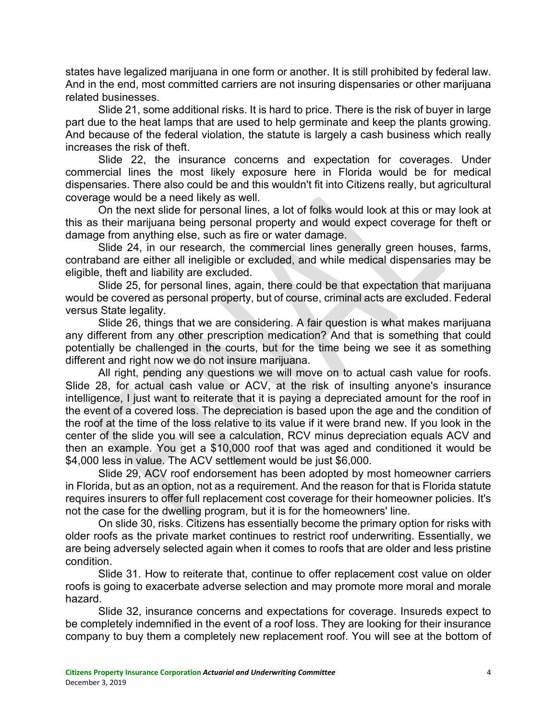states have legalized marijuana in one form or another. It is still prohibited by federal law. And in the end, most committed carriers are not insuring dispensaries or other marijuana related businesses.

Slide 21, some additional risks. It is hard to price. There is the risk of buyer in large part due to the heat lamps that are used to help germinate and keep the plants growing. And because of the federal violation, the statute is largely a cash business which really increases the risk of theft.

Slide 22, the insurance concerns and expectation for coverages. Under commercial lines the most likely exposure here in Florida would be for medical dispensaries. There also could be and this wouldn't fit into Citizens really, but agricultural coverage would be a need likely as well.

On the next slide for personal lines, a lot of folks would look at this or may look at this as their marijuana being personal property and would expect coverage for theft or damage from anything else, such as fire or water damage.

Slide 24, in our research, the commercial lines generally green houses, farms, contraband are either all ineligible or excluded, and while medical dispensaries may be eligible, theft and liability are excluded.

Slide 25, for personal lines, again, there could be that expectation that marijuana would be covered as personal property, but of course, criminal acts are excluded. Federal versus State legality.

Slide 26, things that we are considering. A fair question is what makes marijuana any different from any other prescription medication? And that is something that could potentially be challenged in the courts, but for the time being we see it as something different and right now we do not insure marijuana.

All right, pending any questions we will move on to actual cash value for roofs. Slide 28, for actual cash value or ACV, at the risk of insulting anyone's insurance intelligence, I just want to reiterate that it is paying a depreciated amount for the roof in the event of a covered loss. The depreciation is based upon the age and the condition of the roof at the time of the loss relative to its value if it were brand new. If you look in the center of the slide you will see a calculation, RCV minus depreciation equals ACV and then an example. You get a \$10,000 roof that was aged and conditioned it would be \$4,000 less in value. The ACV settlement would be just \$6,000.

Slide 29, ACV roof endorsement has been adopted by most homeowner carriers in Florida, but as an option, not as a requirement. And the reason for that is Florida statute requires insurers to offer full replacement cost coverage for their homeowner policies. It's not the case for the dwelling program, but it is for the homeowners' line.

On slide 30, risks. Citizens has essentially become the primary option for risks with older roofs as the private market continues to restrict roof underwriting. Essentially, we are being adversely selected again when it comes to roofs that are older and less pristine condition.

Slide 31. How to reiterate that, continue to offer replacement cost value on older roofs is going to exacerbate adverse selection and may promote more moral and morale hazard.

Slide 32, insurance concerns and expectations for coverage. Insureds expect to be completely indemnified in the event of a roof loss. They are looking for their insurance company to buy them a completely new replacement roof. You will see at the bottom of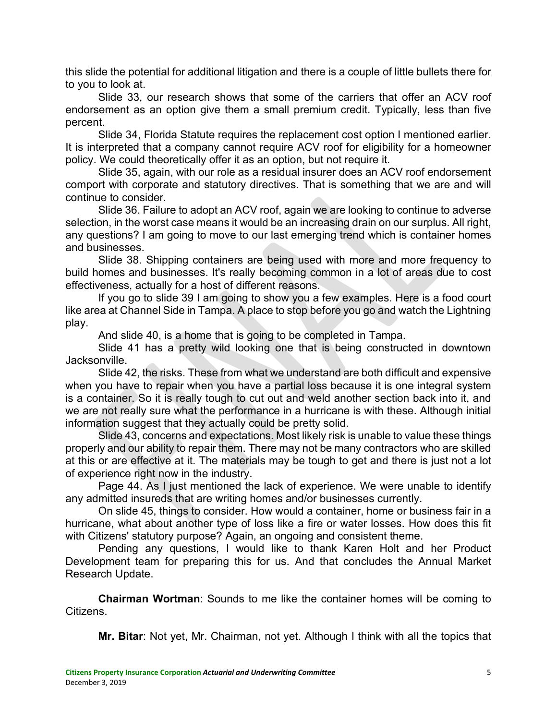this slide the potential for additional litigation and there is a couple of little bullets there for to you to look at.

Slide 33, our research shows that some of the carriers that offer an ACV roof endorsement as an option give them a small premium credit. Typically, less than five percent.

Slide 34, Florida Statute requires the replacement cost option I mentioned earlier. It is interpreted that a company cannot require ACV roof for eligibility for a homeowner policy. We could theoretically offer it as an option, but not require it.

Slide 35, again, with our role as a residual insurer does an ACV roof endorsement comport with corporate and statutory directives. That is something that we are and will continue to consider.

Slide 36. Failure to adopt an ACV roof, again we are looking to continue to adverse selection, in the worst case means it would be an increasing drain on our surplus. All right, any questions? I am going to move to our last emerging trend which is container homes and businesses.

Slide 38. Shipping containers are being used with more and more frequency to build homes and businesses. It's really becoming common in a lot of areas due to cost effectiveness, actually for a host of different reasons.

If you go to slide 39 I am going to show you a few examples. Here is a food court like area at Channel Side in Tampa. A place to stop before you go and watch the Lightning play.

And slide 40, is a home that is going to be completed in Tampa.

Slide 41 has a pretty wild looking one that is being constructed in downtown Jacksonville.

Slide 42, the risks. These from what we understand are both difficult and expensive when you have to repair when you have a partial loss because it is one integral system is a container. So it is really tough to cut out and weld another section back into it, and we are not really sure what the performance in a hurricane is with these. Although initial information suggest that they actually could be pretty solid.

Slide 43, concerns and expectations. Most likely risk is unable to value these things properly and our ability to repair them. There may not be many contractors who are skilled at this or are effective at it. The materials may be tough to get and there is just not a lot of experience right now in the industry.

Page 44. As I just mentioned the lack of experience. We were unable to identify any admitted insureds that are writing homes and/or businesses currently.

On slide 45, things to consider. How would a container, home or business fair in a hurricane, what about another type of loss like a fire or water losses. How does this fit with Citizens' statutory purpose? Again, an ongoing and consistent theme.

Pending any questions, I would like to thank Karen Holt and her Product Development team for preparing this for us. And that concludes the Annual Market Research Update.

**Chairman Wortman**: Sounds to me like the container homes will be coming to Citizens.

**Mr. Bitar**: Not yet, Mr. Chairman, not yet. Although I think with all the topics that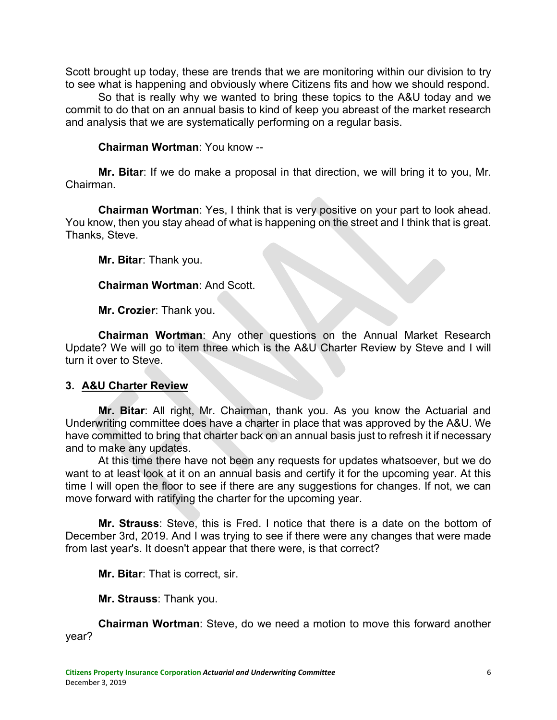Scott brought up today, these are trends that we are monitoring within our division to try to see what is happening and obviously where Citizens fits and how we should respond.

So that is really why we wanted to bring these topics to the A&U today and we commit to do that on an annual basis to kind of keep you abreast of the market research and analysis that we are systematically performing on a regular basis.

### **Chairman Wortman**: You know --

**Mr. Bitar**: If we do make a proposal in that direction, we will bring it to you, Mr. Chairman.

**Chairman Wortman**: Yes, I think that is very positive on your part to look ahead. You know, then you stay ahead of what is happening on the street and I think that is great. Thanks, Steve.

**Mr. Bitar**: Thank you.

#### **Chairman Wortman**: And Scott.

**Mr. Crozier**: Thank you.

**Chairman Wortman**: Any other questions on the Annual Market Research Update? We will go to item three which is the A&U Charter Review by Steve and I will turn it over to Steve.

## **3. A&U Charter Review**

**Mr. Bitar**: All right, Mr. Chairman, thank you. As you know the Actuarial and Underwriting committee does have a charter in place that was approved by the A&U. We have committed to bring that charter back on an annual basis just to refresh it if necessary and to make any updates.

At this time there have not been any requests for updates whatsoever, but we do want to at least look at it on an annual basis and certify it for the upcoming year. At this time I will open the floor to see if there are any suggestions for changes. If not, we can move forward with ratifying the charter for the upcoming year.

**Mr. Strauss**: Steve, this is Fred. I notice that there is a date on the bottom of December 3rd, 2019. And I was trying to see if there were any changes that were made from last year's. It doesn't appear that there were, is that correct?

**Mr. Bitar**: That is correct, sir.

**Mr. Strauss**: Thank you.

**Chairman Wortman**: Steve, do we need a motion to move this forward another year?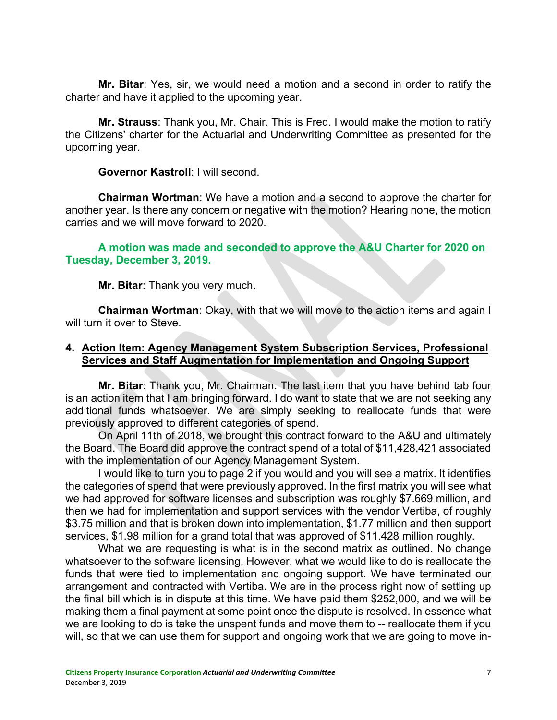**Mr. Bitar**: Yes, sir, we would need a motion and a second in order to ratify the charter and have it applied to the upcoming year.

**Mr. Strauss**: Thank you, Mr. Chair. This is Fred. I would make the motion to ratify the Citizens' charter for the Actuarial and Underwriting Committee as presented for the upcoming year.

**Governor Kastroll**: I will second.

**Chairman Wortman**: We have a motion and a second to approve the charter for another year. Is there any concern or negative with the motion? Hearing none, the motion carries and we will move forward to 2020.

**A motion was made and seconded to approve the A&U Charter for 2020 on Tuesday, December 3, 2019.**

**Mr. Bitar**: Thank you very much.

**Chairman Wortman**: Okay, with that we will move to the action items and again I will turn it over to Steve.

## **4. Action Item: Agency Management System Subscription Services, Professional Services and Staff Augmentation for Implementation and Ongoing Support**

**Mr. Bitar**: Thank you, Mr. Chairman. The last item that you have behind tab four is an action item that I am bringing forward. I do want to state that we are not seeking any additional funds whatsoever. We are simply seeking to reallocate funds that were previously approved to different categories of spend.

On April 11th of 2018, we brought this contract forward to the A&U and ultimately the Board. The Board did approve the contract spend of a total of \$11,428,421 associated with the implementation of our Agency Management System.

I would like to turn you to page 2 if you would and you will see a matrix. It identifies the categories of spend that were previously approved. In the first matrix you will see what we had approved for software licenses and subscription was roughly \$7.669 million, and then we had for implementation and support services with the vendor Vertiba, of roughly \$3.75 million and that is broken down into implementation, \$1.77 million and then support services, \$1.98 million for a grand total that was approved of \$11.428 million roughly.

What we are requesting is what is in the second matrix as outlined. No change whatsoever to the software licensing. However, what we would like to do is reallocate the funds that were tied to implementation and ongoing support. We have terminated our arrangement and contracted with Vertiba. We are in the process right now of settling up the final bill which is in dispute at this time. We have paid them \$252,000, and we will be making them a final payment at some point once the dispute is resolved. In essence what we are looking to do is take the unspent funds and move them to -- reallocate them if you will, so that we can use them for support and ongoing work that we are going to move in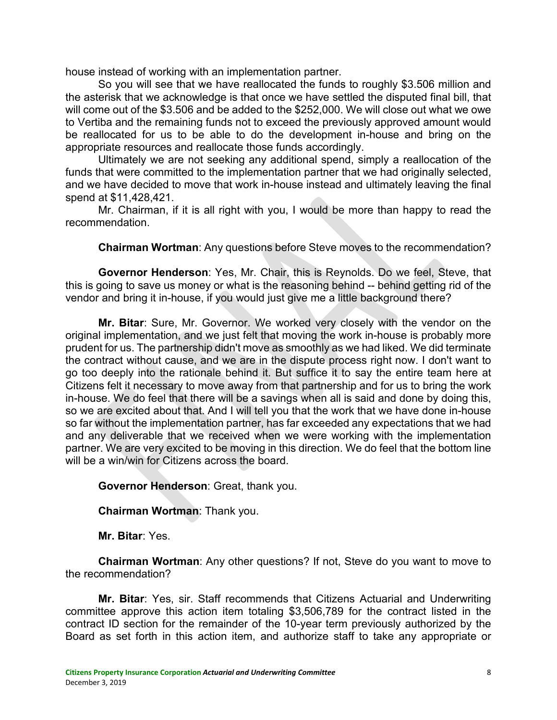house instead of working with an implementation partner.

So you will see that we have reallocated the funds to roughly \$3.506 million and the asterisk that we acknowledge is that once we have settled the disputed final bill, that will come out of the \$3.506 and be added to the \$252,000. We will close out what we owe to Vertiba and the remaining funds not to exceed the previously approved amount would be reallocated for us to be able to do the development in-house and bring on the appropriate resources and reallocate those funds accordingly.

Ultimately we are not seeking any additional spend, simply a reallocation of the funds that were committed to the implementation partner that we had originally selected, and we have decided to move that work in-house instead and ultimately leaving the final spend at \$11,428,421.

Mr. Chairman, if it is all right with you, I would be more than happy to read the recommendation.

**Chairman Wortman**: Any questions before Steve moves to the recommendation?

**Governor Henderson**: Yes, Mr. Chair, this is Reynolds. Do we feel, Steve, that this is going to save us money or what is the reasoning behind -- behind getting rid of the vendor and bring it in-house, if you would just give me a little background there?

**Mr. Bitar**: Sure, Mr. Governor. We worked very closely with the vendor on the original implementation, and we just felt that moving the work in-house is probably more prudent for us. The partnership didn't move as smoothly as we had liked. We did terminate the contract without cause, and we are in the dispute process right now. I don't want to go too deeply into the rationale behind it. But suffice it to say the entire team here at Citizens felt it necessary to move away from that partnership and for us to bring the work in-house. We do feel that there will be a savings when all is said and done by doing this, so we are excited about that. And I will tell you that the work that we have done in-house so far without the implementation partner, has far exceeded any expectations that we had and any deliverable that we received when we were working with the implementation partner. We are very excited to be moving in this direction. We do feel that the bottom line will be a win/win for Citizens across the board

**Governor Henderson**: Great, thank you.

**Chairman Wortman**: Thank you.

**Mr. Bitar**: Yes.

**Chairman Wortman**: Any other questions? If not, Steve do you want to move to the recommendation?

**Mr. Bitar**: Yes, sir. Staff recommends that Citizens Actuarial and Underwriting committee approve this action item totaling \$3,506,789 for the contract listed in the contract ID section for the remainder of the 10-year term previously authorized by the Board as set forth in this action item, and authorize staff to take any appropriate or